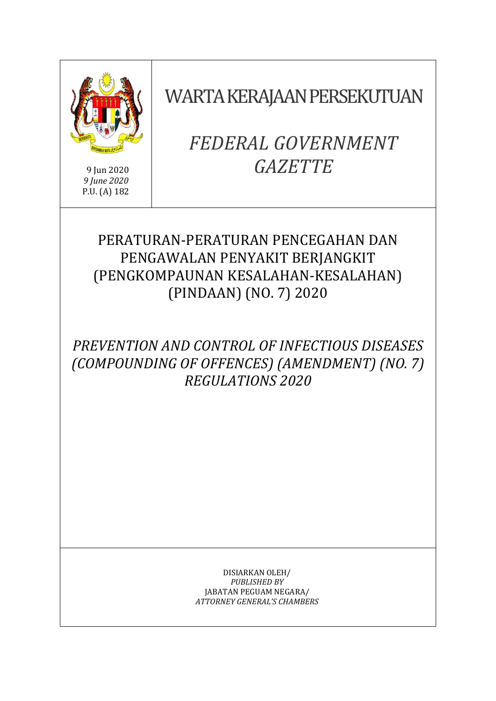

9 Jun 2020 *9 June 2020* P.U. (A) 182 WARTA KERAJAAN PERSEKUTUAN

# *FEDERAL GOVERNMENT GAZETTE*

# PERATURAN-PERATURAN PENCEGAHAN DAN PENGAWALAN PENYAKIT BERJANGKIT (PENGKOMPAUNAN KESALAHAN-KESALAHAN) (PINDAAN) (NO. 7) 2020

# *PREVENTION AND CONTROL OF INFECTIOUS DISEASES (COMPOUNDING OF OFFENCES) (AMENDMENT) (NO. 7) REGULATIONS 2020*

DISIARKAN OLEH/ *PUBLISHED BY* JABATAN PEGUAM NEGARA/ *ATTORNEY GENERAL'S CHAMBERS*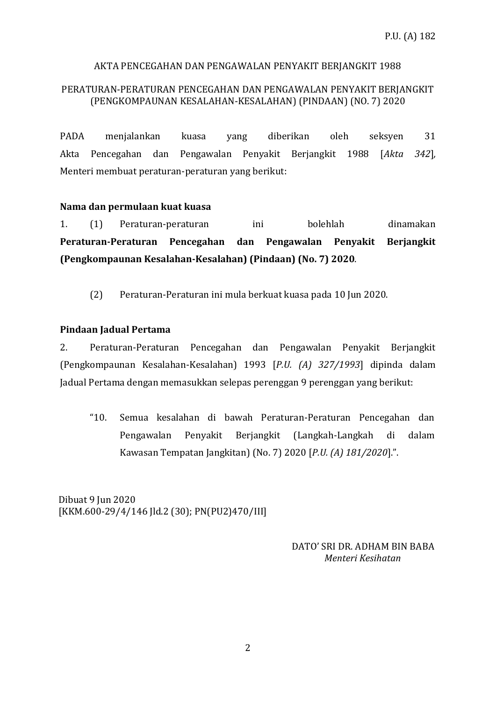# AKTA PENCEGAHAN DAN PENGAWALAN PENYAKIT BERJANGKIT 1988

### PERATURAN-PERATURAN PENCEGAHAN DAN PENGAWALAN PENYAKIT BERJANGKIT (PENGKOMPAUNAN KESALAHAN-KESALAHAN) (PINDAAN) (NO. 7) 2020

PADA menjalankan kuasa yang diberikan oleh seksyen 31 Akta Pencegahan dan Pengawalan Penyakit Berjangkit 1988 [*Akta 342*]*,*  Menteri membuat peraturan-peraturan yang berikut:

#### **Nama dan permulaan kuat kuasa**

1. (1) Peraturan-peraturan ini bolehlah dinamakan **Peraturan-Peraturan Pencegahan dan Pengawalan Penyakit Berjangkit (Pengkompaunan Kesalahan-Kesalahan) (Pindaan) (No. 7) 2020**.

(2) Peraturan-Peraturan ini mula berkuat kuasa pada 10 Jun 2020.

# **Pindaan Jadual Pertama**

2. Peraturan-Peraturan Pencegahan dan Pengawalan Penyakit Berjangkit (Pengkompaunan Kesalahan-Kesalahan) 1993 [*P.U. (A) 327/1993*] dipinda dalam Jadual Pertama dengan memasukkan selepas perenggan 9 perenggan yang berikut:

"10. Semua kesalahan di bawah Peraturan-Peraturan Pencegahan dan Pengawalan Penyakit Berjangkit (Langkah-Langkah di dalam Kawasan Tempatan Jangkitan) (No. 7) 2020 [*P.U. (A) 181/2020*].".

Dibuat 9 Iun 2020 [KKM.600-29/4/146 Jld.2 (30); PN(PU2)470/III]

> DATO' SRI DR. ADHAM BIN BABA  *Menteri Kesihatan*